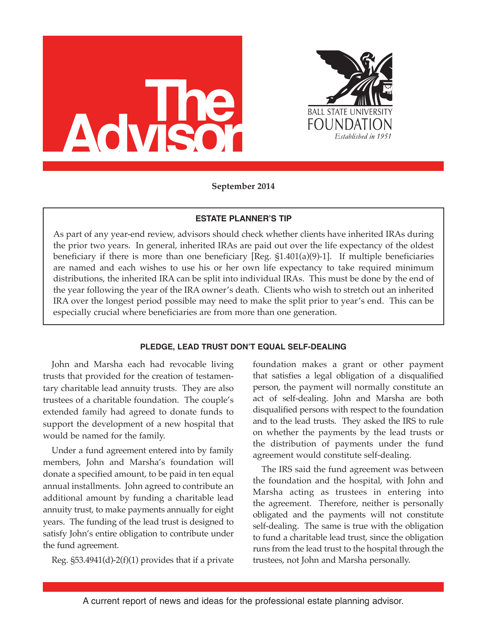



**September 2014**

# **ESTATE PLANNER'S TIP**

As part of any year-end review, advisors should check whether clients have inherited IRAs during the prior two years. In general, inherited IRAs are paid out over the life expectancy of the oldest beneficiary if there is more than one beneficiary  $[Reg. §1.401(a)(9)-1]$ . If multiple beneficiaries are named and each wishes to use his or her own life expectancy to take required minimum distributions, the inherited IRA can be split into individual IRAs. This must be done by the end of the year following the year of the IRA owner's death. Clients who wish to stretch out an inherited IRA over the longest period possible may need to make the split prior to year's end. This can be especially crucial where beneficiaries are from more than one generation.

### **PLEDGE, LEAD TRUST DON'T EQUAL SELF-DEALING**

John and Marsha each had revocable living trusts that provided for the creation of testamentary charitable lead annuity trusts. They are also trustees of a charitable foundation. The couple's extended family had agreed to donate funds to support the development of a new hospital that would be named for the family.

Under a fund agreement entered into by family members, John and Marsha's foundation will donate a specified amount, to be paid in ten equal annual installments. John agreed to contribute an additional amount by funding a charitable lead annuity trust, to make payments annually for eight years. The funding of the lead trust is designed to satisfy John's entire obligation to contribute under the fund agreement.

Reg.  $\S$ 53.4941(d)-2(f)(1) provides that if a private

foundation makes a grant or other payment that satisfies a legal obligation of a disqualified person, the payment will normally constitute an act of self-dealing. John and Marsha are both disqualified persons with respect to the foundation and to the lead trusts. They asked the IRS to rule on whether the payments by the lead trusts or the distribution of payments under the fund agreement would constitute self-dealing.

The IRS said the fund agreement was between the foundation and the hospital, with John and Marsha acting as trustees in entering into the agreement. Therefore, neither is personally obligated and the payments will not constitute self-dealing. The same is true with the obligation to fund a charitable lead trust, since the obligation runs from the lead trust to the hospital through the trustees, not John and Marsha personally.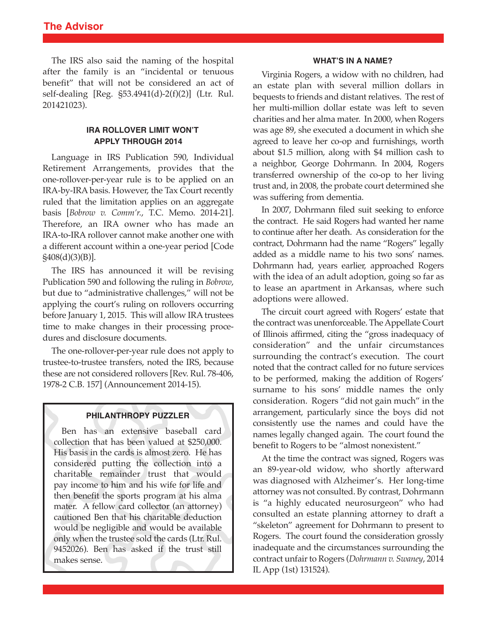The IRS also said the naming of the hospital after the family is an "incidental or tenuous benefit" that will not be considered an act of self-dealing [Reg. §53.4941(d)-2(f)(2)] (Ltr. Rul. 201421023).

# **IRA ROLLOVER LIMIT WON'T APPLY THROUGH 2014**

Language in IRS Publication 590, Individual Retirement Arrangements, provides that the one-rollover-per-year rule is to be applied on an IRA-by-IRA basis. However, the Tax Court recently ruled that the limitation applies on an aggregate basis [*Bobrow v. Comm'r.*, T.C. Memo. 2014-21]. Therefore, an IRA owner who has made an IRA-to-IRA rollover cannot make another one with a different account within a one-year period [Code §408(d)(3)(B)].

The IRS has announced it will be revising Publication 590 and following the ruling in *Bobrow*, but due to "administrative challenges," will not be applying the court's ruling on rollovers occurring before January 1, 2015. This will allow IRA trustees time to make changes in their processing procedures and disclosure documents.

The one-rollover-per-year rule does not apply to trustee-to-trustee transfers, noted the IRS, because these are not considered rollovers [Rev. Rul. 78-406, 1978-2 C.B. 157] (Announcement 2014-15).

## **PHILANTHROPY PUZZLER**

Ben has an extensive baseball card collection that has been valued at \$250,000. His basis in the cards is almost zero. He has considered putting the collection into a charitable remainder trust that would pay income to him and his wife for life and then benefit the sports program at his alma mater. A fellow card collector (an attorney) cautioned Ben that his charitable deduction would be negligible and would be available only when the trustee sold the cards (Ltr. Rul. 9452026). Ben has asked if the trust still makes sense.

#### **WHAT'S IN A NAME?**

Virginia Rogers, a widow with no children, had an estate plan with several million dollars in bequests to friends and distant relatives. The rest of her multi-million dollar estate was left to seven charities and her alma mater. In 2000, when Rogers was age 89, she executed a document in which she agreed to leave her co-op and furnishings, worth about \$1.5 million, along with \$4 million cash to a neighbor, George Dohrmann. In 2004, Rogers transferred ownership of the co-op to her living trust and, in 2008, the probate court determined she was suffering from dementia.

In 2007, Dohrmann filed suit seeking to enforce the contract. He said Rogers had wanted her name to continue after her death. As consideration for the contract, Dohrmann had the name "Rogers" legally added as a middle name to his two sons' names. Dohrmann had, years earlier, approached Rogers with the idea of an adult adoption, going so far as to lease an apartment in Arkansas, where such adoptions were allowed.

The circuit court agreed with Rogers' estate that the contract was unenforceable. The Appellate Court of Illinois affirmed, citing the "gross inadequacy of consideration" and the unfair circumstances surrounding the contract's execution. The court noted that the contract called for no future services to be performed, making the addition of Rogers' surname to his sons' middle names the only consideration. Rogers "did not gain much" in the arrangement, particularly since the boys did not consistently use the names and could have the names legally changed again. The court found the benefit to Rogers to be "almost nonexistent."

At the time the contract was signed, Rogers was an 89-year-old widow, who shortly afterward was diagnosed with Alzheimer's. Her long-time attorney was not consulted. By contrast, Dohrmann is "a highly educated neurosurgeon" who had consulted an estate planning attorney to draft a "skeleton" agreement for Dohrmann to present to Rogers. The court found the consideration grossly inadequate and the circumstances surrounding the contract unfairto Rogers (*Dohrmann v. Swaney*, 2014 IL App (1st) 131524).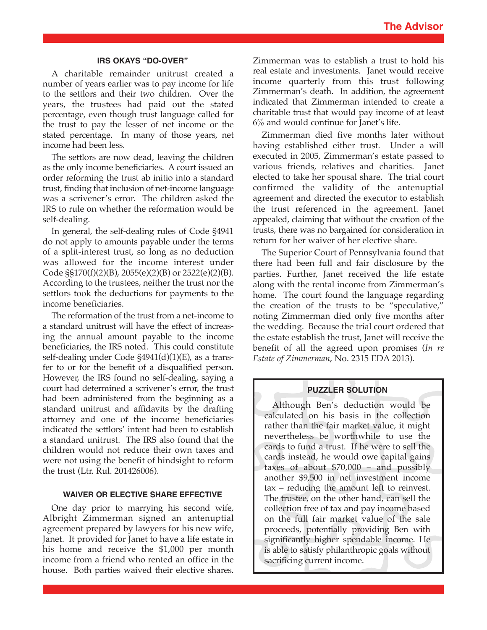#### **IRS OKAYS "DO-OVER"**

A charitable remainder unitrust created a number of years earlier was to pay income for life to the settlors and their two children. Over the years, the trustees had paid out the stated percentage, even though trust language called for the trust to pay the lesser of net income or the stated percentage. In many of those years, net income had been less.

The settlors are now dead, leaving the children as the only income beneficiaries. A court issued an order reforming the trust ab initio into a standard trust, finding that inclusion of net-income language was a scrivener's error. The children asked the IRS to rule on whether the reformation would be self-dealing.

In general, the self-dealing rules of Code §4941 do not apply to amounts payable under the terms of a split-interest trust, so long as no deduction was allowed for the income interest under Code §§170(f)(2)(B), 2055(e)(2)(B) or 2522(e)(2)(B). According to the trustees, neither the trust nor the settlors took the deductions for payments to the income beneficiaries.

The reformation of the trust from a net-income to a standard unitrust will have the effect of increasing the annual amount payable to the income beneficiaries, the IRS noted. This could constitute self-dealing under Code §4941(d)(1)(E), as a transfer to or for the benefit of a disqualified person. However, the IRS found no self-dealing, saying a court had determined a scrivener's error, the trust had been administered from the beginning as a standard unitrust and affidavits by the drafting attorney and one of the income beneficiaries indicated the settlors' intent had been to establish a standard unitrust. The IRS also found that the children would not reduce their own taxes and were not using the benefit of hindsight to reform the trust (Ltr. Rul. 201426006).

## **WAIVER OR ELECTIVE SHARE EFFECTIVE**

One day prior to marrying his second wife, Albright Zimmerman signed an antenuptial agreement prepared by lawyers for his new wife, Janet. It provided for Janet to have a life estate in his home and receive the \$1,000 per month income from a friend who rented an office in the house. Both parties waived their elective shares.

Zimmerman was to establish a trust to hold his real estate and investments. Janet would receive income quarterly from this trust following Zimmerman's death. In addition, the agreement indicated that Zimmerman intended to create a charitable trust that would pay income of at least 6% and would continue for Janet's life.

Zimmerman died five months later without having established either trust. Under a will executed in 2005, Zimmerman's estate passed to various friends, relatives and charities. Janet elected to take her spousal share. The trial court confirmed the validity of the antenuptial agreement and directed the executor to establish the trust referenced in the agreement. Janet appealed, claiming that without the creation of the trusts, there was no bargained for consideration in return for her waiver of her elective share.

The Superior Court of Pennsylvania found that there had been full and fair disclosure by the parties. Further, Janet received the life estate along with the rental income from Zimmerman's home. The court found the language regarding the creation of the trusts to be "speculative," noting Zimmerman died only five months after the wedding. Because the trial court ordered that the estate establish the trust, Janet will receive the benefit of all the agreed upon promises (*In re Estate of Zimmerman*, No. 2315 EDA 2013).

#### **PUZZLER SOLUTION**

Although Ben's deduction would be calculated on his basis in the collection rather than the fair market value, it might nevertheless be worthwhile to use the cards to fund a trust. If he were to sell the cards instead, he would owe capital gains taxes of about \$70,000 – and possibly another \$9,500 in net investment income tax – reducing the amount left to reinvest. The trustee, on the other hand, can sell the collection free of tax and pay income based on the full fair market value of the sale proceeds, potentially providing Ben with significantly higher spendable income. He is able to satisfy philanthropic goals without sacrificing current income.